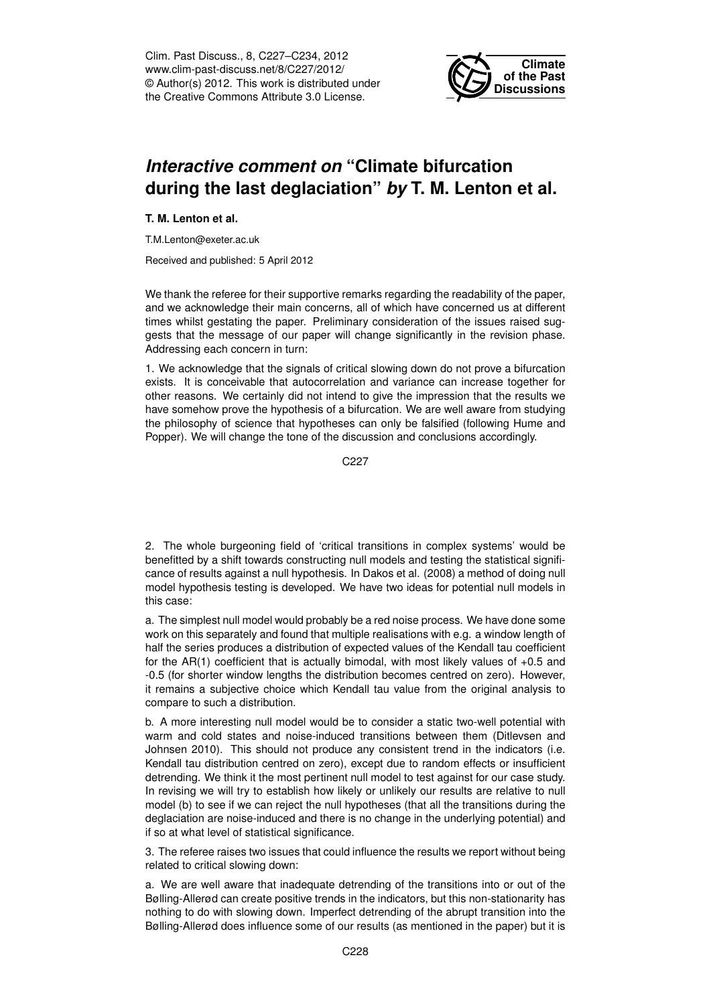Clim. Past Discuss., 8, C227–C234, 2012 www.clim-past-discuss.net/8/C227/2012/ © Author(s) 2012. This work is distributed under the Creative Commons Attribute 3.0 License.



## *Interactive comment on* **"Climate bifurcation during the last deglaciation"** *by* **T. M. Lenton et al.**

**T. M. Lenton et al.**

T.M.Lenton@exeter.ac.uk

Received and published: 5 April 2012

We thank the referee for their supportive remarks regarding the readability of the paper, and we acknowledge their main concerns, all of which have concerned us at different times whilst gestating the paper. Preliminary consideration of the issues raised suggests that the message of our paper will change significantly in the revision phase. Addressing each concern in turn:

1. We acknowledge that the signals of critical slowing down do not prove a bifurcation exists. It is conceivable that autocorrelation and variance can increase together for other reasons. We certainly did not intend to give the impression that the results we have somehow prove the hypothesis of a bifurcation. We are well aware from studying the philosophy of science that hypotheses can only be falsified (following Hume and Popper). We will change the tone of the discussion and conclusions accordingly.

C227

2. The whole burgeoning field of 'critical transitions in complex systems' would be benefitted by a shift towards constructing null models and testing the statistical significance of results against a null hypothesis. In Dakos et al. (2008) a method of doing null model hypothesis testing is developed. We have two ideas for potential null models in this case:

a. The simplest null model would probably be a red noise process. We have done some work on this separately and found that multiple realisations with e.g. a window length of half the series produces a distribution of expected values of the Kendall tau coefficient for the AR(1) coefficient that is actually bimodal, with most likely values of +0.5 and -0.5 (for shorter window lengths the distribution becomes centred on zero). However, it remains a subjective choice which Kendall tau value from the original analysis to compare to such a distribution.

b. A more interesting null model would be to consider a static two-well potential with warm and cold states and noise-induced transitions between them (Ditlevsen and Johnsen 2010). This should not produce any consistent trend in the indicators (i.e. Kendall tau distribution centred on zero), except due to random effects or insufficient detrending. We think it the most pertinent null model to test against for our case study. In revising we will try to establish how likely or unlikely our results are relative to null model (b) to see if we can reject the null hypotheses (that all the transitions during the deglaciation are noise-induced and there is no change in the underlying potential) and if so at what level of statistical significance.

3. The referee raises two issues that could influence the results we report without being related to critical slowing down:

a. We are well aware that inadequate detrending of the transitions into or out of the Bølling-Allerød can create positive trends in the indicators, but this non-stationarity has nothing to do with slowing down. Imperfect detrending of the abrupt transition into the Bølling-Allerød does influence some of our results (as mentioned in the paper) but it is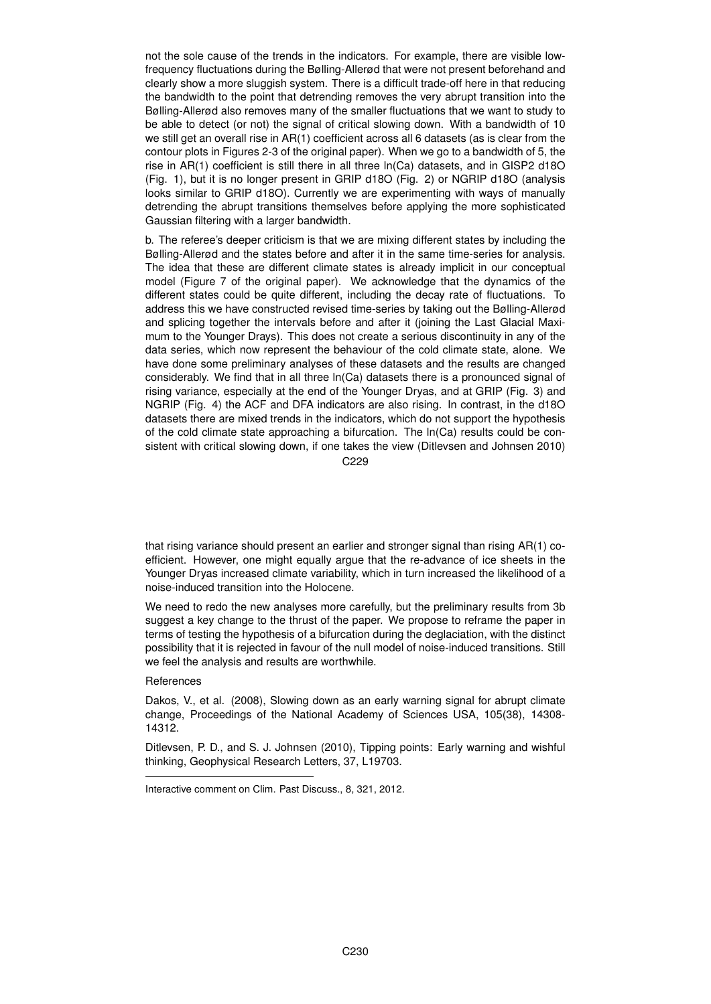not the sole cause of the trends in the indicators. For example, there are visible lowfrequency fluctuations during the Bølling-Allerød that were not present beforehand and clearly show a more sluggish system. There is a difficult trade-off here in that reducing the bandwidth to the point that detrending removes the very abrupt transition into the Bølling-Allerød also removes many of the smaller fluctuations that we want to study to be able to detect (or not) the signal of critical slowing down. With a bandwidth of 10 we still get an overall rise in AR(1) coefficient across all 6 datasets (as is clear from the contour plots in Figures 2-3 of the original paper). When we go to a bandwidth of 5, the rise in AR(1) coefficient is still there in all three ln(Ca) datasets, and in GISP2 d18O (Fig. 1), but it is no longer present in GRIP d18O (Fig. 2) or NGRIP d18O (analysis looks similar to GRIP d18O). Currently we are experimenting with ways of manually detrending the abrupt transitions themselves before applying the more sophisticated Gaussian filtering with a larger bandwidth.

b. The referee's deeper criticism is that we are mixing different states by including the Bølling-Allerød and the states before and after it in the same time-series for analysis. The idea that these are different climate states is already implicit in our conceptual model (Figure 7 of the original paper). We acknowledge that the dynamics of the different states could be quite different, including the decay rate of fluctuations. To address this we have constructed revised time-series by taking out the Bølling-Allerød and splicing together the intervals before and after it (joining the Last Glacial Maximum to the Younger Drays). This does not create a serious discontinuity in any of the data series, which now represent the behaviour of the cold climate state, alone. We have done some preliminary analyses of these datasets and the results are changed considerably. We find that in all three ln(Ca) datasets there is a pronounced signal of rising variance, especially at the end of the Younger Dryas, and at GRIP (Fig. 3) and NGRIP (Fig. 4) the ACF and DFA indicators are also rising. In contrast, in the d18O datasets there are mixed trends in the indicators, which do not support the hypothesis of the cold climate state approaching a bifurcation. The ln(Ca) results could be consistent with critical slowing down, if one takes the view (Ditlevsen and Johnsen 2010)

C229

that rising variance should present an earlier and stronger signal than rising AR(1) coefficient. However, one might equally argue that the re-advance of ice sheets in the Younger Dryas increased climate variability, which in turn increased the likelihood of a noise-induced transition into the Holocene.

We need to redo the new analyses more carefully, but the preliminary results from 3b suggest a key change to the thrust of the paper. We propose to reframe the paper in terms of testing the hypothesis of a bifurcation during the deglaciation, with the distinct possibility that it is rejected in favour of the null model of noise-induced transitions. Still we feel the analysis and results are worthwhile.

## References

Dakos, V., et al. (2008), Slowing down as an early warning signal for abrupt climate change, Proceedings of the National Academy of Sciences USA, 105(38), 14308- 14312.

Ditlevsen, P. D., and S. J. Johnsen (2010), Tipping points: Early warning and wishful thinking, Geophysical Research Letters, 37, L19703.

Interactive comment on Clim. Past Discuss., 8, 321, 2012.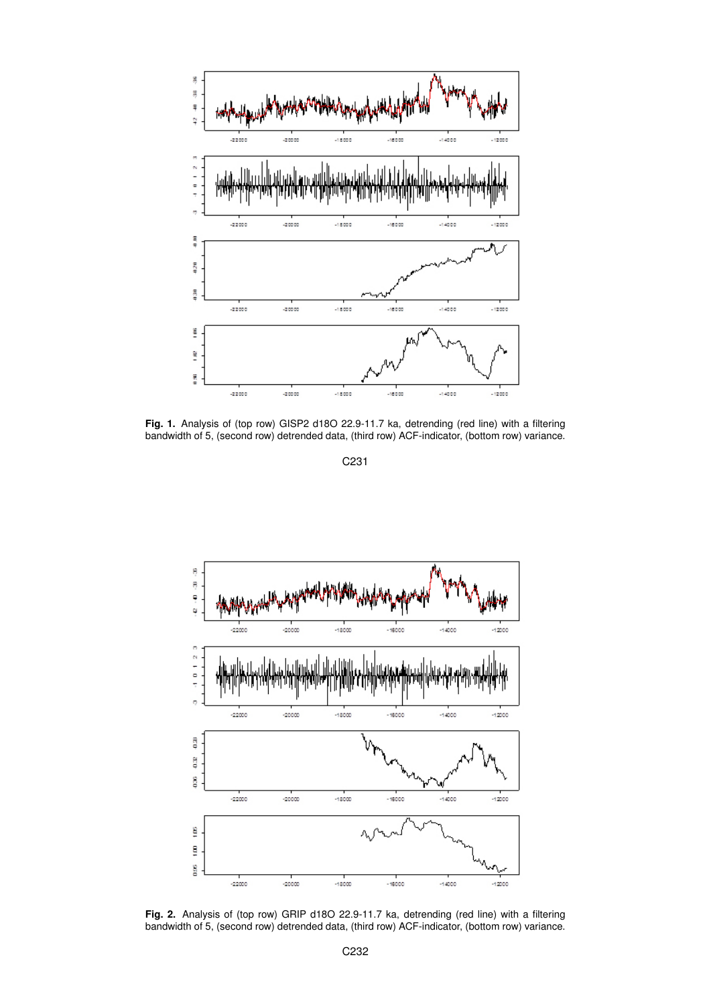

**Fig. 1.** Analysis of (top row) GISP2 d18O 22.9-11.7 ka, detrending (red line) with a filtering bandwidth of 5, (second row) detrended data, (third row) ACF-indicator, (bottom row) variance.



**Fig. 2.** Analysis of (top row) GRIP d18O 22.9-11.7 ka, detrending (red line) with a filtering bandwidth of 5, (second row) detrended data, (third row) ACF-indicator, (bottom row) variance.

C231